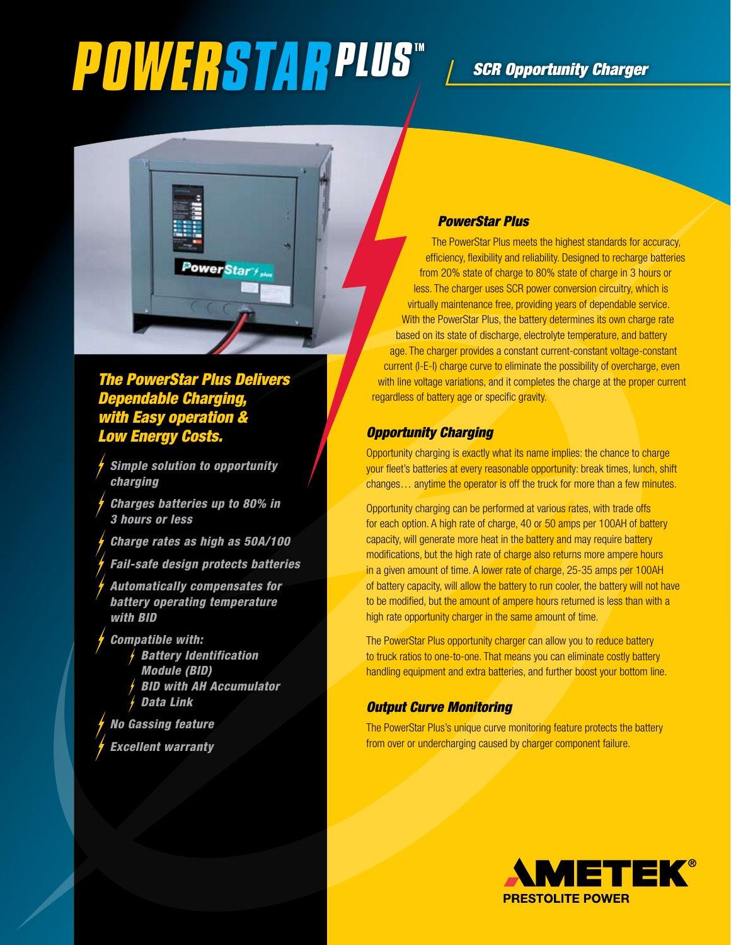# **POWERSTARPLUS**<sup>W</sup> *L* SCR Opportunity Charger



### *The PowerStar Plus Delivers Dependable Charging, <i><u>With Easy operation</u> Low Energy Costs.*

- *Simple solution to opportunity charging*
- *Charges batteries up to 80% in 3 hours or less*
- *Charge rates as high as 50A/100*
- *Fail-safe design protects batteries*
- *Automatically compensates for battery operating temperature with BID*
- *Compatible with: Battery Identification Module (BID) BID with AH Accumulator Data Link*
- *No Gassing feature*
- *Excellent warranty*

#### *PowerStar Plus*

The PowerStar Plus meets the highest standards for accuracy, efficiency, flexibility and reliability. Designed to recharge batteries from 20% state of charge to 80% state of charge in 3 hours or less. The charger uses SCR power conversion circuitry, which is virtually maintenance free, providing years of dependable service. With the PowerStar Plus, the battery determines its own charge rate based on its state of discharge, electrolyte temperature, and battery age. The charger provides a constant current-constant voltage-constant current (I-E-I) charge curve to eliminate the possibility of overcharge, even with line voltage variations, and it completes the charge at the proper current regardless of battery age or specific gravity.

#### *Opportunity Charging*

Opportunity charging is exactly what its name implies: the chance to charge your fleet's batteries at every reasonable opportunity: break times, lunch, shift changes… anytime the operator is off the truck for more than a few minutes.

Opportunity charging can be performed at various rates, with trade offs for each option. A high rate of charge, 40 or 50 amps per 100AH of battery capacity, will generate more heat in the battery and may require battery modifications, but the high rate of charge also returns more ampere hours in a given amount of time. A lower rate of charge, 25-35 amps per 100AH of battery capacity, will allow the battery to run cooler, the battery will not have to be modified, but the amount of ampere hours returned is less than with a high rate opportunity charger in the same amount of time.

The PowerStar Plus opportunity charger can allow you to reduce battery to truck ratios to one-to-one. That means you can eliminate costly battery handling equipment and extra batteries, and further boost your bottom line.

#### *Output Curve Monitoring*

The PowerStar Plus's unique curve monitoring feature protects the battery from over or undercharging caused by charger component failure.